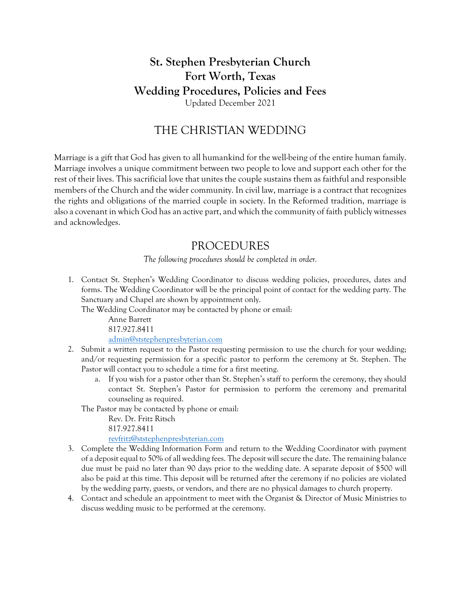### **St. Stephen Presbyterian Church Fort Worth, Texas Wedding Procedures, Policies and Fees** Updated December 2021

## THE CHRISTIAN WEDDING

Marriage is a gift that God has given to all humankind for the well-being of the entire human family. Marriage involves a unique commitment between two people to love and support each other for the rest of their lives. This sacrificial love that unites the couple sustains them as faithful and responsible members of the Church and the wider community. In civil law, marriage is a contract that recognizes the rights and obligations of the married couple in society. In the Reformed tradition, marriage is also a covenant in which God has an active part, and which the community of faith publicly witnesses and acknowledges.

### PROCEDURES

*The following procedures should be completed in order.*

1. Contact St. Stephen's Wedding Coordinator to discuss wedding policies, procedures, dates and forms. The Wedding Coordinator will be the principal point of contact for the wedding party. The Sanctuary and Chapel are shown by appointment only.

The Wedding Coordinator may be contacted by phone or email:

Anne Barrett 817.927.8411 [admin@ststephenpresbyterian.com](mailto:admin@ststephenpresbyterian.com)

- 2. Submit a written request to the Pastor requesting permission to use the church for your wedding; and/or requesting permission for a specific pastor to perform the ceremony at St. Stephen. The Pastor will contact you to schedule a time for a first meeting.
	- a. If you wish for a pastor other than St. Stephen's staff to perform the ceremony, they should contact St. Stephen's Pastor for permission to perform the ceremony and premarital counseling as required.

The Pastor may be contacted by phone or email:

Rev. Dr. Fritz Ritsch

817.927.8411

[revfritz@ststephenpresbyterian.com](mailto:revfritz@ststephenpresbyterian.com)

- 3. Complete the Wedding Information Form and return to the Wedding Coordinator with payment of a deposit equal to 50% of all wedding fees. The deposit will secure the date. The remaining balance due must be paid no later than 90 days prior to the wedding date. A separate deposit of \$500 will also be paid at this time. This deposit will be returned after the ceremony if no policies are violated by the wedding party, guests, or vendors, and there are no physical damages to church property.
- 4. Contact and schedule an appointment to meet with the Organist & Director of Music Ministries to discuss wedding music to be performed at the ceremony.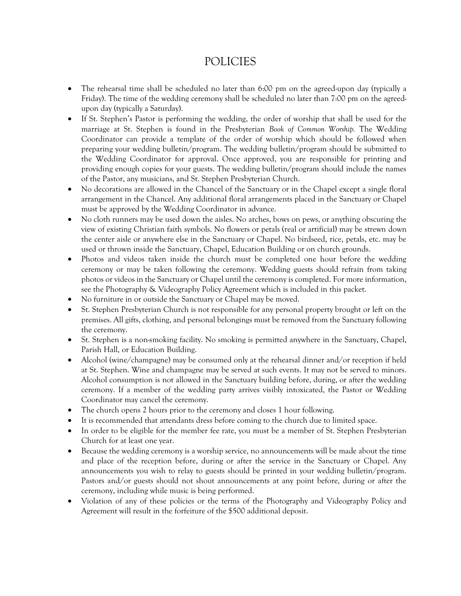## POLICIES

- The rehearsal time shall be scheduled no later than 6:00 pm on the agreed-upon day (typically a Friday). The time of the wedding ceremony shall be scheduled no later than 7:00 pm on the agreedupon day (typically a Saturday).
- If St. Stephen's Pastor is performing the wedding, the order of worship that shall be used for the marriage at St. Stephen is found in the Presbyterian *Book of Common Worship.* The Wedding Coordinator can provide a template of the order of worship which should be followed when preparing your wedding bulletin/program. The wedding bulletin/program should be submitted to the Wedding Coordinator for approval. Once approved, you are responsible for printing and providing enough copies for your guests. The wedding bulletin/program should include the names of the Pastor, any musicians, and St. Stephen Presbyterian Church.
- No decorations are allowed in the Chancel of the Sanctuary or in the Chapel except a single floral arrangement in the Chancel. Any additional floral arrangements placed in the Sanctuary or Chapel must be approved by the Wedding Coordinator in advance.
- No cloth runners may be used down the aisles. No arches, bows on pews, or anything obscuring the view of existing Christian faith symbols. No flowers or petals (real or artificial) may be strewn down the center aisle or anywhere else in the Sanctuary or Chapel. No birdseed, rice, petals, etc. may be used or thrown inside the Sanctuary, Chapel, Education Building or on church grounds.
- Photos and videos taken inside the church must be completed one hour before the wedding ceremony or may be taken following the ceremony. Wedding guests should refrain from taking photos or videos in the Sanctuary or Chapel until the ceremony is completed. For more information, see the Photography & Videography Policy Agreement which is included in this packet.
- No furniture in or outside the Sanctuary or Chapel may be moved.
- St. Stephen Presbyterian Church is not responsible for any personal property brought or left on the premises. All gifts, clothing, and personal belongings must be removed from the Sanctuary following the ceremony.
- St. Stephen is a non-smoking facility. No smoking is permitted anywhere in the Sanctuary, Chapel, Parish Hall, or Education Building.
- Alcohol (wine/champagne) may be consumed only at the rehearsal dinner and/or reception if held at St. Stephen. Wine and champagne may be served at such events. It may not be served to minors. Alcohol consumption is not allowed in the Sanctuary building before, during, or after the wedding ceremony. If a member of the wedding party arrives visibly intoxicated, the Pastor or Wedding Coordinator may cancel the ceremony.
- The church opens 2 hours prior to the ceremony and closes 1 hour following.
- It is recommended that attendants dress before coming to the church due to limited space.
- In order to be eligible for the member fee rate, you must be a member of St. Stephen Presbyterian Church for at least one year.
- Because the wedding ceremony is a worship service, no announcements will be made about the time and place of the reception before, during or after the service in the Sanctuary or Chapel. Any announcements you wish to relay to guests should be printed in your wedding bulletin/program. Pastors and/or guests should not shout announcements at any point before, during or after the ceremony, including while music is being performed.
- Violation of any of these policies or the terms of the Photography and Videography Policy and Agreement will result in the forfeiture of the \$500 additional deposit.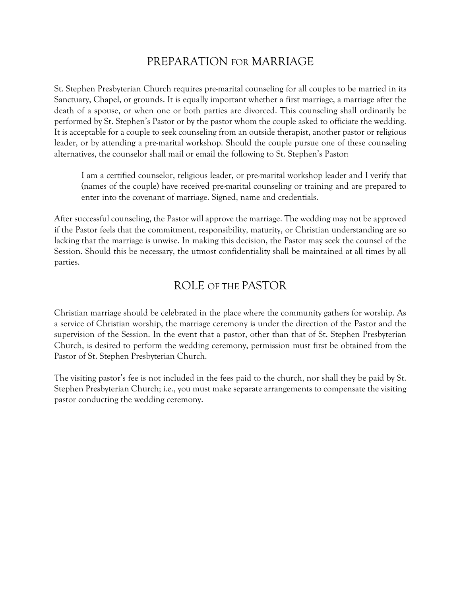## PREPARATION FOR MARRIAGE

St. Stephen Presbyterian Church requires pre-marital counseling for all couples to be married in its Sanctuary, Chapel, or grounds. It is equally important whether a first marriage, a marriage after the death of a spouse, or when one or both parties are divorced. This counseling shall ordinarily be performed by St. Stephen's Pastor or by the pastor whom the couple asked to officiate the wedding. It is acceptable for a couple to seek counseling from an outside therapist, another pastor or religious leader, or by attending a pre-marital workshop. Should the couple pursue one of these counseling alternatives, the counselor shall mail or email the following to St. Stephen's Pastor:

I am a certified counselor, religious leader, or pre-marital workshop leader and I verify that (names of the couple) have received pre-marital counseling or training and are prepared to enter into the covenant of marriage. Signed, name and credentials.

After successful counseling, the Pastor will approve the marriage. The wedding may not be approved if the Pastor feels that the commitment, responsibility, maturity, or Christian understanding are so lacking that the marriage is unwise. In making this decision, the Pastor may seek the counsel of the Session. Should this be necessary, the utmost confidentiality shall be maintained at all times by all parties.

## ROLE OF THE PASTOR

Christian marriage should be celebrated in the place where the community gathers for worship. As a service of Christian worship, the marriage ceremony is under the direction of the Pastor and the supervision of the Session. In the event that a pastor, other than that of St. Stephen Presbyterian Church, is desired to perform the wedding ceremony, permission must first be obtained from the Pastor of St. Stephen Presbyterian Church.

The visiting pastor's fee is not included in the fees paid to the church, nor shall they be paid by St. Stephen Presbyterian Church; i.e., you must make separate arrangements to compensate the visiting pastor conducting the wedding ceremony.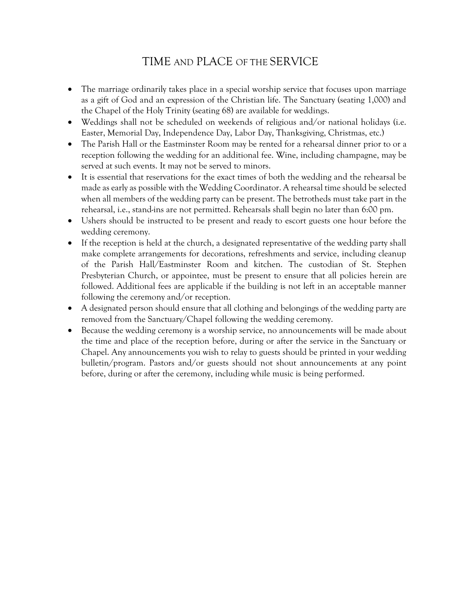## TIME AND PLACE OF THE SERVICE

- The marriage ordinarily takes place in a special worship service that focuses upon marriage as a gift of God and an expression of the Christian life. The Sanctuary (seating 1,000) and the Chapel of the Holy Trinity (seating 68) are available for weddings.
- Weddings shall not be scheduled on weekends of religious and/or national holidays (i.e. Easter, Memorial Day, Independence Day, Labor Day, Thanksgiving, Christmas, etc.)
- The Parish Hall or the Eastminster Room may be rented for a rehearsal dinner prior to or a reception following the wedding for an additional fee. Wine, including champagne, may be served at such events. It may not be served to minors.
- It is essential that reservations for the exact times of both the wedding and the rehearsal be made as early as possible with the Wedding Coordinator. A rehearsal time should be selected when all members of the wedding party can be present. The betrotheds must take part in the rehearsal, i.e., stand-ins are not permitted. Rehearsals shall begin no later than 6:00 pm.
- Ushers should be instructed to be present and ready to escort guests one hour before the wedding ceremony.
- If the reception is held at the church, a designated representative of the wedding party shall make complete arrangements for decorations, refreshments and service, including cleanup of the Parish Hall/Eastminster Room and kitchen. The custodian of St. Stephen Presbyterian Church, or appointee, must be present to ensure that all policies herein are followed. Additional fees are applicable if the building is not left in an acceptable manner following the ceremony and/or reception.
- A designated person should ensure that all clothing and belongings of the wedding party are removed from the Sanctuary/Chapel following the wedding ceremony.
- Because the wedding ceremony is a worship service, no announcements will be made about the time and place of the reception before, during or after the service in the Sanctuary or Chapel. Any announcements you wish to relay to guests should be printed in your wedding bulletin/program. Pastors and/or guests should not shout announcements at any point before, during or after the ceremony, including while music is being performed.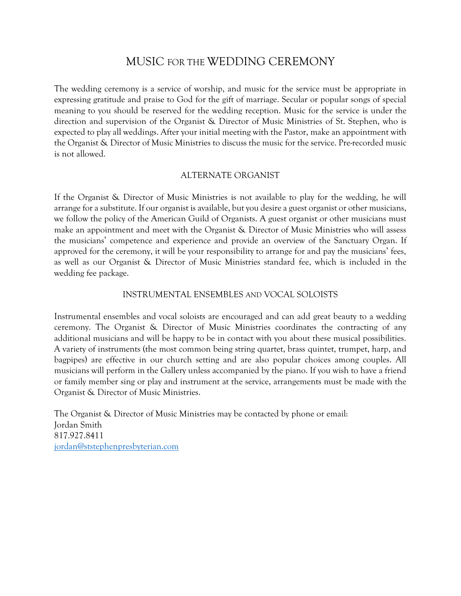### MUSIC FOR THE WEDDING CEREMONY

The wedding ceremony is a service of worship, and music for the service must be appropriate in expressing gratitude and praise to God for the gift of marriage. Secular or popular songs of special meaning to you should be reserved for the wedding reception. Music for the service is under the direction and supervision of the Organist & Director of Music Ministries of St. Stephen, who is expected to play all weddings. After your initial meeting with the Pastor, make an appointment with the Organist & Director of Music Ministries to discuss the music for the service. Pre-recorded music is not allowed.

#### ALTERNATE ORGANIST

If the Organist & Director of Music Ministries is not available to play for the wedding, he will arrange for a substitute. If our organist is available, but you desire a guest organist or other musicians, we follow the policy of the American Guild of Organists. A guest organist or other musicians must make an appointment and meet with the Organist & Director of Music Ministries who will assess the musicians' competence and experience and provide an overview of the Sanctuary Organ. If approved for the ceremony, it will be your responsibility to arrange for and pay the musicians' fees, as well as our Organist & Director of Music Ministries standard fee, which is included in the wedding fee package.

#### INSTRUMENTAL ENSEMBLES AND VOCAL SOLOISTS

Instrumental ensembles and vocal soloists are encouraged and can add great beauty to a wedding ceremony. The Organist & Director of Music Ministries coordinates the contracting of any additional musicians and will be happy to be in contact with you about these musical possibilities. A variety of instruments (the most common being string quartet, brass quintet, trumpet, harp, and bagpipes) are effective in our church setting and are also popular choices among couples. All musicians will perform in the Gallery unless accompanied by the piano. If you wish to have a friend or family member sing or play and instrument at the service, arrangements must be made with the Organist & Director of Music Ministries.

The Organist & Director of Music Ministries may be contacted by phone or email: Jordan Smith 817.927.8411 [jordan@ststephenpresbyterian.com](mailto:jordan@ststephenpresbyterian.com)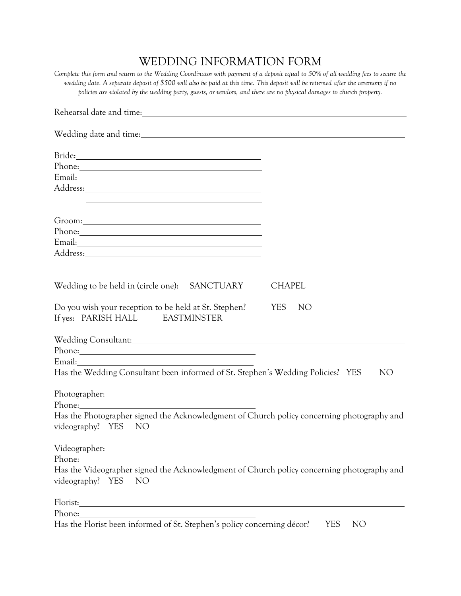## WEDDING INFORMATION FORM

*Complete this form and return to the Wedding Coordinator with payment of a deposit equal to 50% of all wedding fees to secure the wedding date. A separate deposit of \$500 will also be paid at this time. This deposit will be returned after the ceremony if no policies are violated by the wedding party, guests, or vendors, and there are no physical damages to church property.*

| Rehearsal date and time: New York Channels and time and time and time and time and time and time and time and time and time and time and time and time and time and time and time and time and time and time and time and time |                  |
|--------------------------------------------------------------------------------------------------------------------------------------------------------------------------------------------------------------------------------|------------------|
|                                                                                                                                                                                                                                |                  |
|                                                                                                                                                                                                                                |                  |
| Phone:                                                                                                                                                                                                                         |                  |
|                                                                                                                                                                                                                                |                  |
|                                                                                                                                                                                                                                |                  |
|                                                                                                                                                                                                                                |                  |
|                                                                                                                                                                                                                                |                  |
| Groom:                                                                                                                                                                                                                         |                  |
| Email: Note and the second contract of the second contract of the second contract of the second contract of the second contract of the second contract of the second contract of the second contract of the second contract of |                  |
| Address: Note and the set of the set of the set of the set of the set of the set of the set of the set of the set of the set of the set of the set of the set of the set of the set of the set of the set of the set of the se |                  |
|                                                                                                                                                                                                                                |                  |
|                                                                                                                                                                                                                                |                  |
| Wedding to be held in (circle one): SANCTUARY                                                                                                                                                                                  | <b>CHAPEL</b>    |
| Do you wish your reception to be held at St. Stephen?<br>If yes: PARISH HALL EASTMINSTER                                                                                                                                       | YES NO           |
|                                                                                                                                                                                                                                |                  |
| Phone:                                                                                                                                                                                                                         |                  |
|                                                                                                                                                                                                                                |                  |
| Has the Wedding Consultant been informed of St. Stephen's Wedding Policies? YES                                                                                                                                                | NO <sub>1</sub>  |
|                                                                                                                                                                                                                                |                  |
| Phone:                                                                                                                                                                                                                         |                  |
| Has the Photographer signed the Acknowledgment of Church policy concerning photography and<br>videography? YES<br>NO                                                                                                           |                  |
| Videographer: National Communication of the Communication of the Communication of the Communication of the Communication of the Communication of the Communication of the Communication of the Communication of the Communicat |                  |
| Phone:                                                                                                                                                                                                                         |                  |
| Has the Videographer signed the Acknowledgment of Church policy concerning photography and                                                                                                                                     |                  |
| videography? YES<br>NO                                                                                                                                                                                                         |                  |
| Florist: Florist Communication of the Communication of the Communication of the Communication of the Communication of the Communication of the Communication of the Communication of the Communication of the Communication of |                  |
| Phone:                                                                                                                                                                                                                         |                  |
| Has the Florist been informed of St. Stephen's policy concerning décor?                                                                                                                                                        | NO<br><b>YES</b> |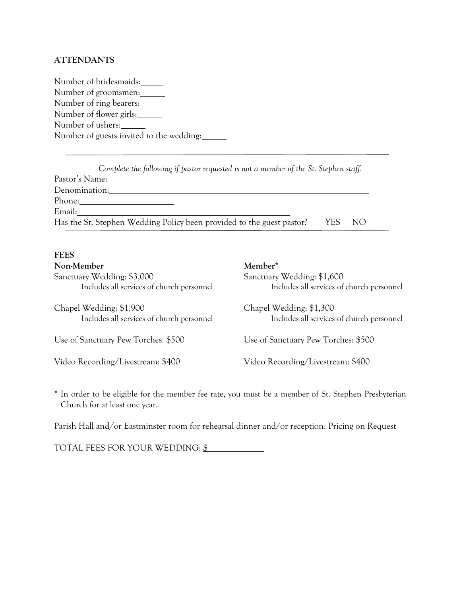#### **ATTENDANTS**

Number of bridesmaids: Number of groomsmen: Number of ring bearers: Number of flower girls: Number of ushers: Number of guests invited to the wedding:

| Complete the following if pastor requested is not a member of the St. Stephen staff. |      |    |
|--------------------------------------------------------------------------------------|------|----|
| Pastor's Name:                                                                       |      |    |
| Denomination:                                                                        |      |    |
| Phone:                                                                               |      |    |
| Email:                                                                               |      |    |
| Has the St. Stephen Wedding Policy been provided to the guest pastor?                | YES. | NO |

#### **FEES**

| Non-Member                                | Member*                                   |
|-------------------------------------------|-------------------------------------------|
| Sanctuary Wedding: \$3,000                | Sanctuary Wedding: \$1,600                |
| Includes all services of church personnel | Includes all services of church personnel |
| Chapel Wedding: \$1,900                   | Chapel Wedding: \$1,300                   |
| Includes all services of church personnel | Includes all services of church personnel |
| Use of Sanctuary Pew Torches: \$500       | Use of Sanctuary Pew Torches: \$500       |
| Video Recording/Livestream: \$400         | Video Recording/Livestream: \$400         |
|                                           |                                           |

\* In order to be eligible for the member fee rate, you must be a member of St. Stephen Presbyterian Church for at least one year.

Parish Hall and/or Eastminster room for rehearsal dinner and/or reception: Pricing on Request

TOTAL FEES FOR YOUR WEDDING: \$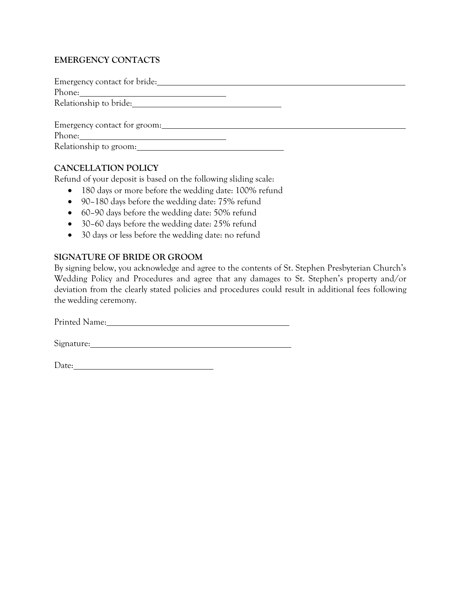#### **EMERGENCY CONTACTS**

Emergency contact for bride: Notice and the set of the set of the set of the set of the set of the set of the set of the set of the set of the set of the set of the set of the set of the set of the set of the set of the se

Phone: Relationship to bride:

Emergency contact for groom:

Phone: 2008 Phone:

Relationship to groom:

#### **CANCELLATION POLICY**

Refund of your deposit is based on the following sliding scale:

- 180 days or more before the wedding date: 100% refund
- 90–180 days before the wedding date: 75% refund
- 60–90 days before the wedding date: 50% refund
- 30–60 days before the wedding date: 25% refund
- 30 days or less before the wedding date: no refund

#### **SIGNATURE OF BRIDE OR GROOM**

By signing below, you acknowledge and agree to the contents of St. Stephen Presbyterian Church's Wedding Policy and Procedures and agree that any damages to St. Stephen's property and/or deviation from the clearly stated policies and procedures could result in additional fees following the wedding ceremony.

Printed Name:

Signature: Signature:

Date: